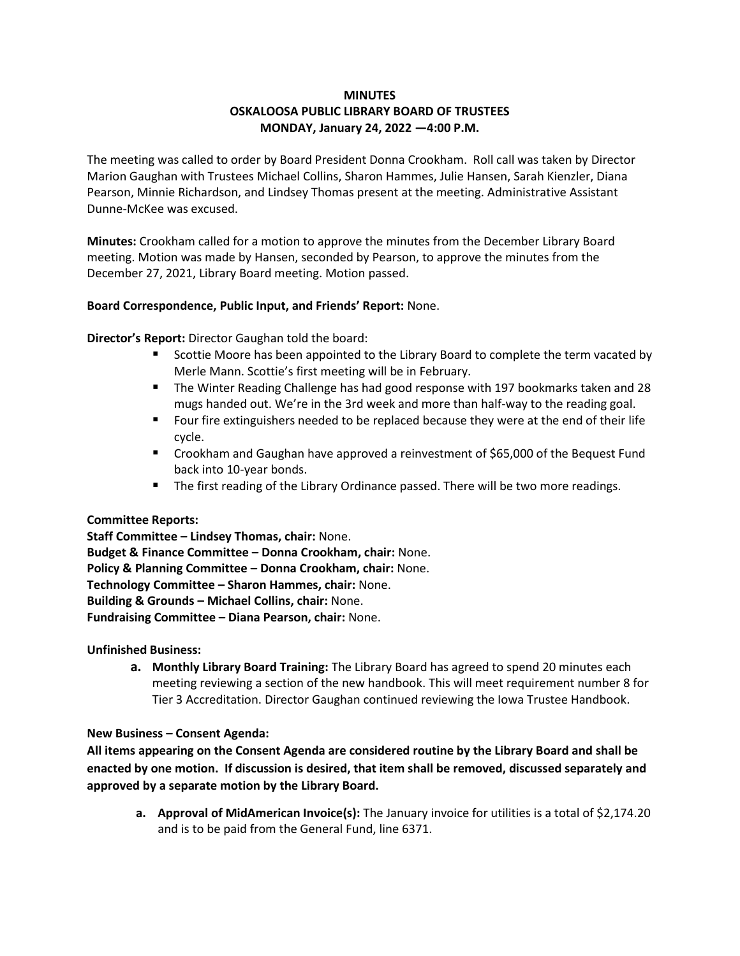# **MINUTES OSKALOOSA PUBLIC LIBRARY BOARD OF TRUSTEES MONDAY, January 24, 2022 —4:00 P.M.**

The meeting was called to order by Board President Donna Crookham. Roll call was taken by Director Marion Gaughan with Trustees Michael Collins, Sharon Hammes, Julie Hansen, Sarah Kienzler, Diana Pearson, Minnie Richardson, and Lindsey Thomas present at the meeting. Administrative Assistant Dunne-McKee was excused.

**Minutes:** Crookham called for a motion to approve the minutes from the December Library Board meeting. Motion was made by Hansen, seconded by Pearson, to approve the minutes from the December 27, 2021, Library Board meeting. Motion passed.

### **Board Correspondence, Public Input, and Friends' Report:** None.

**Director's Report:** Director Gaughan told the board:

- Scottie Moore has been appointed to the Library Board to complete the term vacated by Merle Mann. Scottie's first meeting will be in February.
- The Winter Reading Challenge has had good response with 197 bookmarks taken and 28 mugs handed out. We're in the 3rd week and more than half-way to the reading goal.
- Four fire extinguishers needed to be replaced because they were at the end of their life cycle.
- Crookham and Gaughan have approved a reinvestment of \$65,000 of the Bequest Fund back into 10-year bonds.
- The first reading of the Library Ordinance passed. There will be two more readings.

### **Committee Reports:**

**Staff Committee – Lindsey Thomas, chair:** None. **Budget & Finance Committee – Donna Crookham, chair:** None. **Policy & Planning Committee – Donna Crookham, chair:** None. **Technology Committee – Sharon Hammes, chair:** None. **Building & Grounds – Michael Collins, chair:** None. **Fundraising Committee – Diana Pearson, chair:** None.

### **Unfinished Business:**

**a. Monthly Library Board Training:** The Library Board has agreed to spend 20 minutes each meeting reviewing a section of the new handbook. This will meet requirement number 8 for Tier 3 Accreditation. Director Gaughan continued reviewing the Iowa Trustee Handbook.

### **New Business – Consent Agenda:**

**All items appearing on the Consent Agenda are considered routine by the Library Board and shall be enacted by one motion. If discussion is desired, that item shall be removed, discussed separately and approved by a separate motion by the Library Board.**

**a. Approval of MidAmerican Invoice(s):** The January invoice for utilities is a total of \$2,174.20 and is to be paid from the General Fund, line 6371.